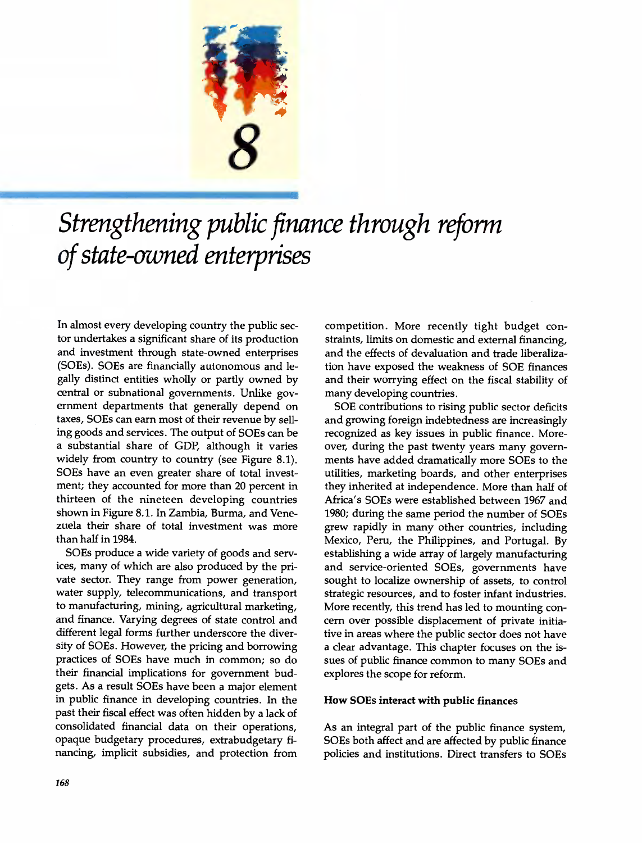

# Strengthening public finance through reform of state-owned enterprises

In almost every developing country the public sector undertakes a significant share of its production and investment through state-owned enterprises (SOEs). SOEs are financially autonomous and legaily distinct entities wholly or partly owned by central or subnational governments. Unlike government departments that generally depend on taxes, SOEs can earn most of their revenue by selling goods and services. The output of SOEs can be a substantial share of GDP, although it varies widely from country to country (see Figure 8.1). SOEs have an even greater share of total investment; they accounted for more than 20 percent in thirteen of the nineteen developing countries shown in Figure 8.1. In Zambia, Burma, and Venezuela their share of total investment was more than half in 1984.

SOEs produce a wide variety of goods and services, many of which are also produced by the private sector. They range from power generation, water supply, telecommunications, and transport to manufacturing, mining, agricultural marketing, and finance. Varying degrees of state control and different legal forms further underscore the diversity of SOEs. However, the pricing and borrowing practices of SOEs have much in common; so do their financial implications for government budgets. As a result SOEs have been a major element in public finance in developing countries. In the past their fiscal effect was often hidden by a lack of consolidated financial data on their operations, opaque budgetary procedures, extrabudgetary financing, implicit subsidies, and protection from competition. More recently tight budget constraints, limits on domestic and external financing, and the effects of devaluation and trade liberalization have exposed the weakness of SOE finances and their worrying effect on the fiscal stability of many developing countries.

SOE contributions to rising public sector deficits and growing foreign indebtedness are increasingly recognized as key issues in public finance. Moreover, during the past twenty years many governments have added dramatically more SOEs to the utilities, marketing boards, and other enterprises they inherited at independence. More than half of Africa's SOEs were established between 1967 and 1980; during the same period the number of SOEs grew rapidly in many other countries, including Mexico, Peru, the Philippines, and Portugal. By establishing a wide array of largely manufacturing and service-oriented SOEs, governments have sought to localize ownership of assets, to control strategic resources, and to foster infant industries. More recently, this trend has led to mounting concern over possible displacement of private initiative in areas where the public sector does not have a clear advantage. This chapter focuses on the issues of public finance common to many SOEs and explores the scope for reform.

## How SOEs interact with public finances

As an integral part of the public finance system, SOEs both affect and are affected by public finance policies and institutions. Direct transfers to SOEs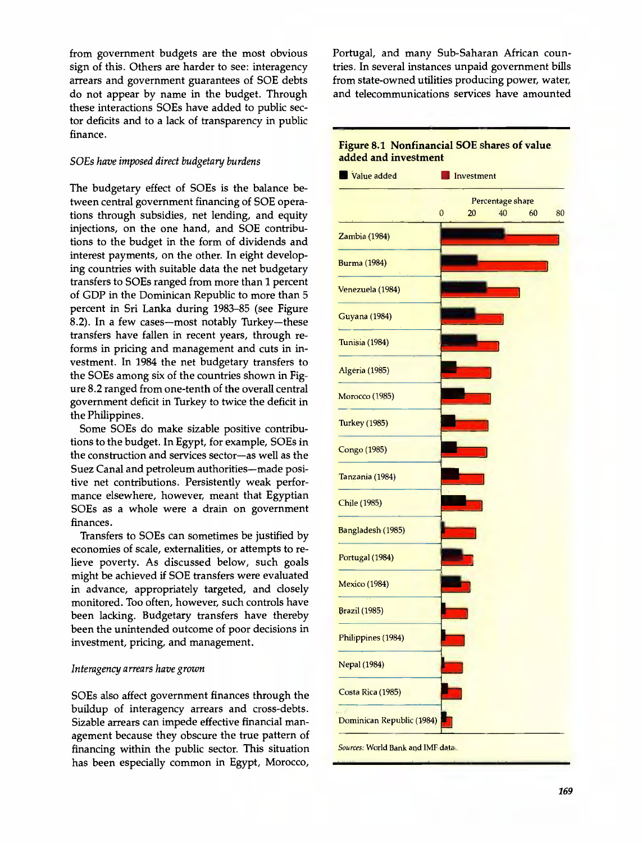from government budgets are the most obvious sign of this. Others are harder to see: interagency arrears and government guarantees of SOE debts do not appear by name in the budget. Through these interactions SOEs have added to public sector deficits and to a lack of transparency in public finance.

# SOEs have imposed direct budgetary burdens

The budgetary effect of SOEs is the balance between central government financing of SOE operations through subsidies, net lending, and equity injections, on the one hand, and SOE contributions to the budget in the form of dividends and interest payments, on the other. In eight developing countries with suitable data the net budgetary transfers to SOEs ranged from more than 1 percent of GDP in the Dominican Republic to more than 5 percent in Sri Lanka during 1983-85 (see Figure 8.2). In a few cases—most notably Turkey—these transfers have fallen in recent years, through reforms in pricing and management and cuts in investment. In 1984 the net budgetary transfers to the SOEs among six of the countries shown in Figure 8.2 ranged from one-tenth of the overall central government deficit in Turkey to twice the deficit in the Philippines.

Some SOEs do make sizable positive contributions to the budget. In Egypt, for example, SOEs in the construction and services sector-as well as the Suez Canal and petroleum authorities-made positive net contributions. Persistently weak performance elsewhere, however, meant that Egyptian SOEs as a whole were a drain on government finances.

Transfers to SOEs can sometimes be justified by economies of scale, externalities, or attempts to relieve poverty. As discussed below, such goals might be achieved if SOE transfers were evaluated in advance, appropriately targeted, and closely monitored. Too often, however, such controls have been lacking. Budgetary transfers have thereby been the unintended outcome of poor decisions in investment, pricing, and management.

## Interagency arrears have grown

SOEs also affect government finances through the buildup of interagency arrears and cross-debts. Sizable arrears can impede effective financial management because they obscure the true pattern of financing within the public sector. This situation has been especially common in Egypt, Morocco,

Portugal, and many Sub-Saharan African countries. In several instances unpaid government bills from state-owned utilities producing power, water, and telecommunications services have amounted

# Figure 8.1 Nonfinancial SOE shares of value added and investment

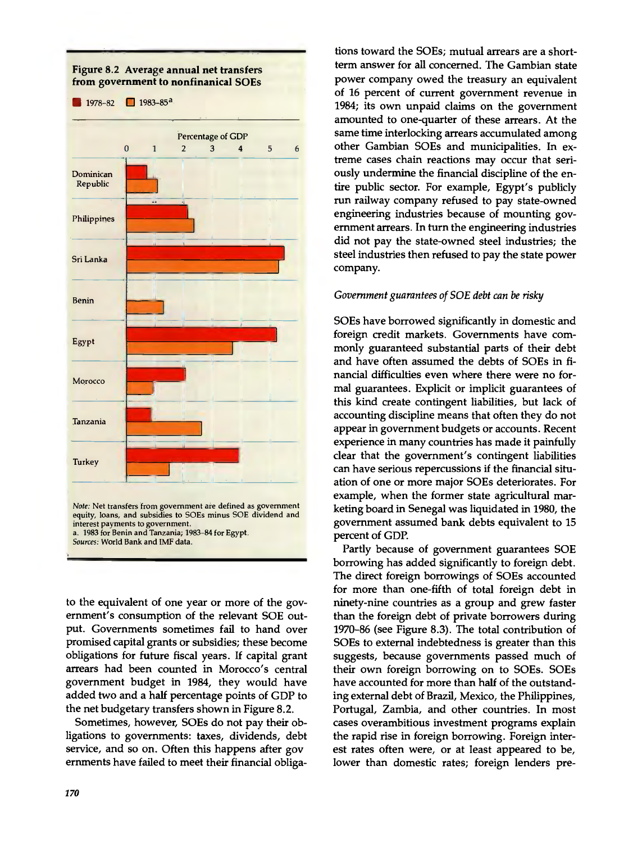

to the equivalent of one year or more of the government's consumption of the relevant SOE output. Governments sometimes fail to hand over promised capital grants or subsidies; these become obligations for future fiscal years. If capital grant arrears had been counted in Morocco's central government budget in 1984, they would have added two and a half percentage points of GDP to the net budgetary transfers shown in Figure 8.2.

Sometimes, however, SOEs do not pay their obligations to governments: taxes, dividends, debt service, and so on. Often this happens after gov ernments have failed to meet their financial obliga-

tions toward the SOEs; mutual arrears are a shortterm answer for all concerned. The Gambian state power company owed the treasury an equivalent of 16 percent of current government revenue in 1984; its own unpaid claims on the government amounted to one-quarter of these arrears. At the same time interlocking arrears accumulated among other Gambian SOEs and municipalities. In extreme cases chain reactions may occur that seriously undermine the financial discipline of the entire public sector. For example, Egypt's publicly run railway company refused to pay state-owned engineering industries because of mounting government arrears. In turn the engineering industries did not pay the state-owned steel industries; the steel industries then refused to pay the state power company.

#### Government guarantees of SQE debt can be risky

SOEs have borrowed significantly in domestic and foreign credit markets. Governments have commonly guaranteed substantial parts of their debt and have often assumed the debts of SOEs in financial difficulties even where there were no formal guarantees. Explicit or implicit guarantees of this kind create contingent liabilities, but lack of accounting discipline means that often they do not appear in government budgets or accounts. Recent experience in many countries has made it painfully clear that the government's contingent liabilities can have serious repercussions if the financial situation of one or more major SOEs deteriorates. For example, when the former state agricultural marketing board in Senegal was liquidated in 1980, the government assumed bank debts equivalent to 15 percent of GDP.

Partly because of government guarantees SOE borrowing has added significantly to foreign debt. The direct foreign borrowings of SOEs accounted for more than one-fifth of total foreign debt in ninety-nine countries as a group and grew faster than the foreign debt of private borrowers during 1970-86 (see Figure 8.3). The total contribution of SOEs to external indebtedness is greater than this suggests, because governments passed much of their own foreign borrowing on to SOEs. SOEs have accounted for more than half of the outstanding external debt of Brazil, Mexico, the Philippines, Portugal, Zambia, and other countries. In most cases overambitious investment programs explain the rapid rise in foreign borrowing. Foreign interest rates often were, or at least appeared to be, lower than domestic rates; foreign lenders pre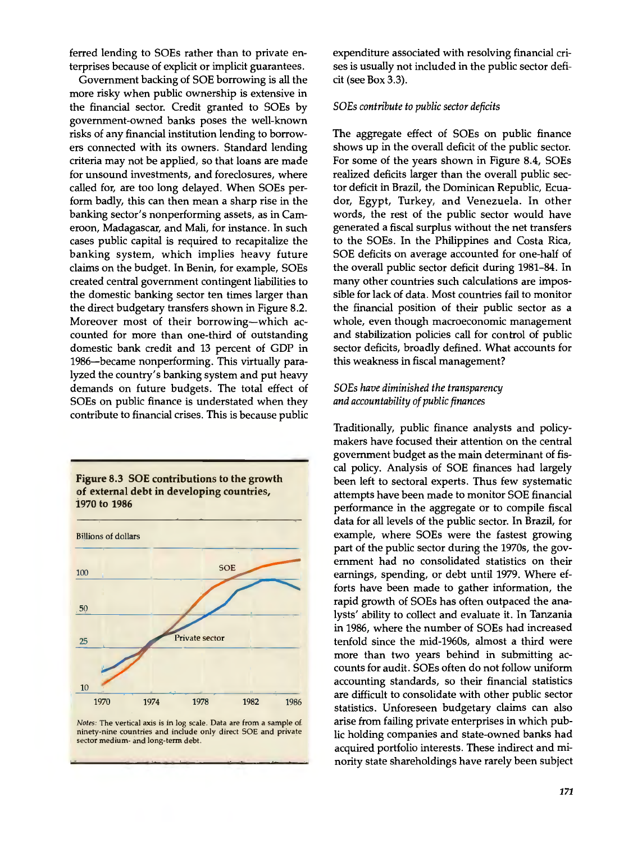ferred lending to SOEs rather than to private enterprises because of explicit or implicit guarantees.

Government backing of SOE borrowing is all the more risky when public ownership is extensive in the financial sector. Credit granted to SOEs by government-owned banks poses the well-known risks of any financial institution lending to borrowers connected with its owners. Standard lending criteria may not be applied, so that loans are made for unsound investments, and foreclosures, where called for, are too long delayed. When SOEs perform badly, this can then mean a sharp rise in the banking sector's nonperforming assets, as in Cameroon, Madagascar, and Mali, for instance. In such cases public capital is required to recapitalize the banking system, which implies heavy future claims on the budget. In Benin, for example, SOEs created central government contingent liabilities to the domestic banking sector ten times larger than the direct budgetary transfers shown in Figure 8.2. Moreover most of their borrowing-which accounted for more than one-third of outstanding domestic bank credit and 13 percent of GDP in 1986—became nonperforming. This virtually paralyzed the country's banking system and put heavy demands on future budgets. The total effect of SOEs on public finance is understated when they contribute to financial crises. This is because public

#### Figure 8.3 SOE contributions to the growth of external debt in developing countries, 1970 to 1986



Notes: The vertical axis is in log scale. Data are from a sample of ninety-nine countries and include only direct SOE and private sector medium- and long-term debt.

expenditure associated with resolving financial crises is usually not included in the public sector deficit (see Box 3.3).

#### SOEs contribute to public sector deficits

The aggregate effect of SOEs on public finance shows up in the overall deficit of the public sector. For some of the years shown in Figure 8.4, SOEs realized deficits larger than the overall public sector deficit in Brazil, the Dominican Republic, Ecuador, Egypt, Turkey, and Venezuela. In other words, the rest of the public sector would have generated a fiscal surplus without the net transfers to the SOEs. In the Philippines and Costa Rica, SOE deficits on average accounted for one-half of the overall public sector deficit during 1981-84. In many other countries such calculations are impossible for lack of data. Most countries fail to monitor the financial position of their public sector as a whole, even though macroeconomic management and stabilization policies call for control of public sector deficits, broadly defined. What accounts for this weakness in fiscal management?

# SOEs have diminished the transparency and accountability of public finances

Traditionally, public finance analysts and policymakers have focused their attention on the central government budget as the main determinant of fiscal policy. Analysis of SOE finances had largely been left to sectoral experts. Thus few systematic attempts have been made to monitor SOE financial performance in the aggregate or to compile fiscal data for all levels of the public sector. In Brazil, for example, where SOEs were the fastest growing part of the public sector during the 1970s, the government had no consolidated statistics on their earnings, spending, or debt until 1979. Where efforts have been made to gather information, the rapid growth of SOEs has often outpaced the analysts' ability to collect and evaluate it. In Tanzania in 1986, where the number of SOEs had increased tenfold since the mid-1960s, almost a third were more than two years behind in submitting accounts for audit. SOEs often do not follow uniform accounting standards, so their financial statistics are difficult to consolidate with other public sector statistics. Unforeseen budgetary claims can also arise from failing private enterprises in which public holding companies and state-owned banks had acquired portfolio interests. These indirect and minority state shareholdings have rarely been subject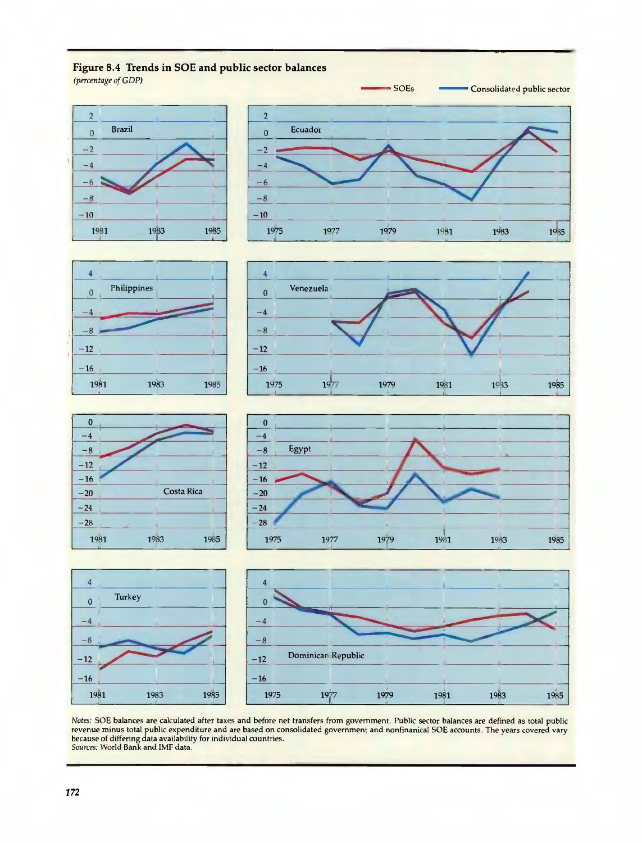# Figure 8.4 Trends in SOE and public sector balances

(percentage of GDP)







Notes: SOE balances are calculated after taxes and before net transfers from government. Public sector balances are defined as total public revenue minus total public expenditure and are based on consolidated government and nonfinanical SOE accounts. The years covered vary because of differing data availability for individual countries.<br>*Sources:* World Bank and IMF data.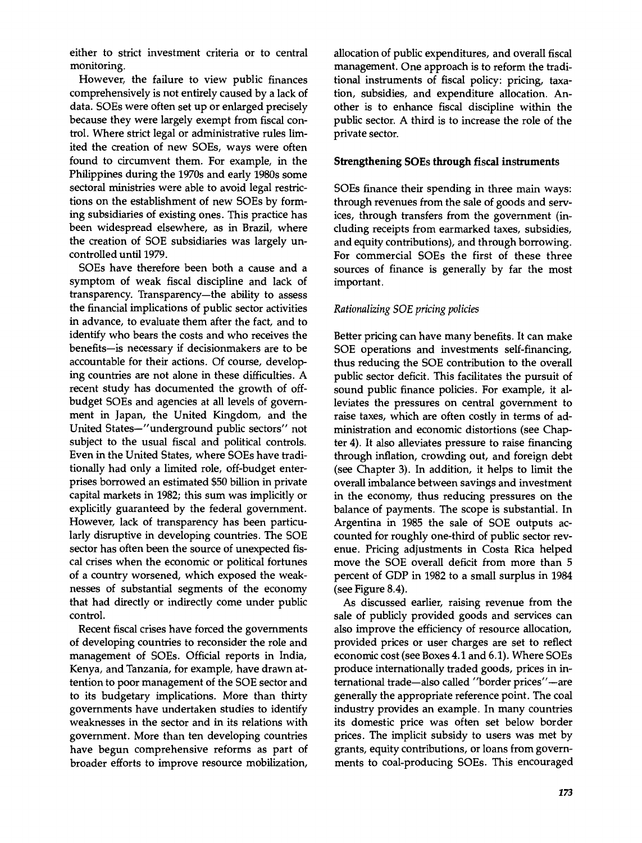either to strict investment criteria or to central monitoring.

However, the failure to view public finances comprehensively is not entirely caused by a lack of data. SOEs were often set up or enlarged precisely because they were largely exempt from fiscal control. Where strict legal or administrative rules limited the creation of new SOEs, ways were often found to circumvent them. For example, in the Philippines during the 1970s and early 1980s some sectoral ministries were able to avoid legal restrictions on the establishment of new SOEs by forming subsidiaries of existing ones. This practice has been widespread elsewhere, as in Brazil, where the creation of SOE subsidiaries was largely uncontrolled until 1979.

SOEs have therefore been both a cause and a symptom of weak fiscal discipline and lack of transparency. Transparency-the ability to assess the financial implications of public sector activities in advance, to evaluate them after the fact, and to identify who bears the costs and who receives the benefits-is necessary if decisionmakers are to be accountable for their actions. Of course, developing countries are not alone in these difficulties. A recent study has documented the growth of offbudget SOEs and agencies at all levels of government in Japan, the United Kingdom, and the United States-"underground public sectors" not subject to the usual fiscal and political controls. Even in the United States, where SOEs have traditionally had only a limited role, off-budget enterprises borrowed an estimated \$50 billion in private capital markets in 1982; this sum was implicitly or explicitly guaranteed by the federal government. However, lack of transparency has been particularly disruptive in developing countries. The SOE sector has often been the source of unexpected fiscal crises when the economic or political fortunes of a country worsened, which exposed the weaknesses of substantial segments of the economy that had directly or indirectly come under public control.

Recent fiscal crises have forced the governments of developing countries to reconsider the role and management of SOEs. Official reports in India, Kenya, and Tanzania, for example, have drawn attention to poor management of the SOE sector and to its budgetary implications. More than thirty governments have undertaken studies to identify weaknesses in the sector and in its relations with government. More than ten developing countries have begun comprehensive reforms as part of broader efforts to improve resource mobilization,

allocation of public expenditures, and overall fiscal management. One approach is to reform the traditional instruments of fiscal policy: pricing, taxation, subsidies, and expenditure allocation. Another is to enhance fiscal discipline within the public sector. A third is to increase the role of the private sector.

## Strengthening SOEs through fiscal instruments

SOEs finance their spending in three main ways: through revenues from the sale of goods and services, through transfers from the government (including receipts from earmarked taxes, subsidies, and equity contributions), and through borrowing. For commercial SOEs the first of these three sources of finance is generally by far the most important.

## Rationalizing SOE pricing policies

Better pricing can have many benefits. It can make SOE operations and investments self-financing, thus reducing the SOE contribution to the overall public sector deficit. This facilitates the pursuit of sound public finance policies. For example, it alleviates the pressures on central government to raise taxes, which are often costly in terms of administration and economic distortions (see Chapter 4). It also alleviates pressure to raise financing through inflation, crowding out, and foreign debt (see Chapter 3). In addition, it helps to limit the overall imbalance between savings and investment in the economy, thus reducing pressures on the balance of payments. The scope is substantial. In Argentina in 1985 the sale of SOE outputs accounted for roughly one-third of public sector revenue. Pricing adjustments in Costa Rica helped move the SOE overall deficit from more than 5 percent of GDP in 1982 to a small surplus in 1984 (see Figure 8.4).

As discussed earlier, raising revenue from the sale of publicly provided goods and services can also improve the efficiency of resource allocation, provided prices or user charges are set to reflect economic cost (see Boxes 4.1 and 6.1). Where SOEs produce internationally traded goods, prices in international trade-also called "border prices"-are generally the appropriate reference point. The coal industry provides an example. In many countries its domestic price was often set below border prices. The implicit subsidy to users was met by grants, equity contributions, or loans from governments to coal-producing SOEs. This encouraged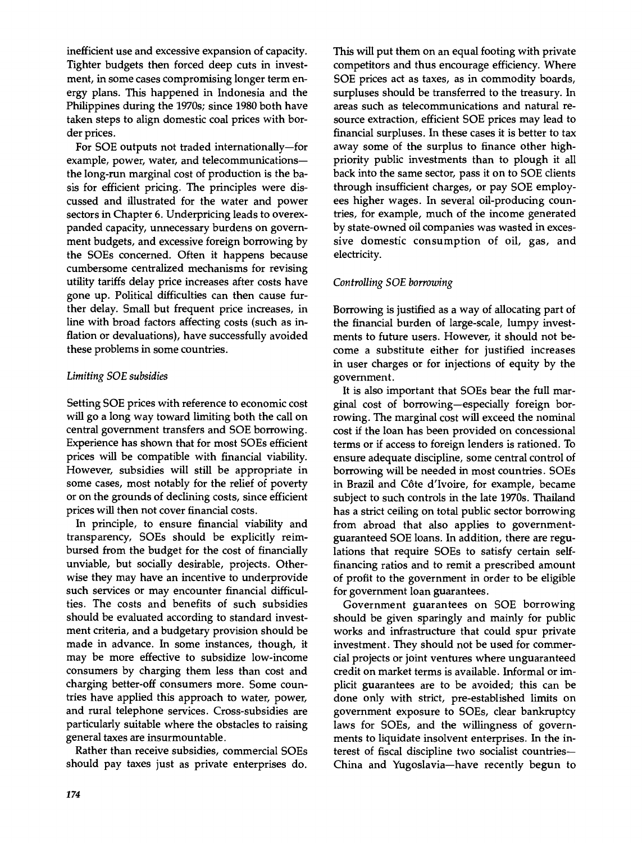inefficient use and excessive expansion of capacity. Tighter budgets then forced deep cuts in investment, in some cases compromising longer term energy plans. This happened in Indonesia and the Philippines during the 1970s; since 1980 both have taken steps to align domestic coal prices with border prices.

For SOE outputs not traded internationally-for example, power, water, and telecommunications the long-run marginal cost of production is the basis for efficient pricing. The principles were discussed and illustrated for the water and power sectors in Chapter 6. Underpricing leads to overexpanded capacity, unnecessary burdens on government budgets, and excessive foreign borrowing by the SOEs concerned. Often it happens because cumbersome centralized mechanisms for revising utility tariffs delay price increases after costs have gone up. Political difficulties can then cause further delay. Small but frequent price increases, in line with broad factors affecting costs (such as inflation or devaluations), have successfully avoided these problems in some countries.

# Limiting SQE subsidies

Setting SOE prices with reference to economic cost will go a long way toward limiting both the call on central government transfers and SOE borrowing. Experience has shown that for most SOEs efficient prices will be compatible with financial viability. However, subsidies will still be appropriate in some cases, most notably for the relief of poverty or on the grounds of declining costs, since efficient prices will then not cover financial costs.

In principle, to ensure financial viability and transparency, SOEs should be explicitly reimbursed from the budget for the cost of financially unviable, but socially desirable, projects. Otherwise they may have an incentive to underprovide such services or may encounter financial difficulties. The costs and benefits of such subsidies should be evaluated according to standard investment criteria, and a budgetary provision should be made in advance. In some instances, though, it may be more effective to subsidize low-income consumers by charging them less than cost and charging better-off consumers more. Some countries have applied this approach to water, power, and rural telephone services. Cross-subsidies are particularly suitable where the obstacles to raising general taxes are insurmountable.

Rather than receive subsidies, commercial SOEs should pay taxes just as private enterprises do. This will put them on an equal footing with private competitors and thus encourage efficiency. Where SOE prices act as taxes, as in commodity boards, surpluses should be transferred to the treasury. In areas such as telecommunications and natural resource extraction, efficient SOE prices may lead to financial surpluses. In these cases it is better to tax away some of the surplus to finance other highpriority public investments than to plough it all back into the same sector, pass it on to SOE clients through insufficient charges, or pay SOE employees higher wages. In several oil-producing countries, for example, much of the income generated by state-owned oil companies was wasted in excessive domestic consumption of oil, gas, and electricity.

# Controlling SOE borrowing

Borrowing is justified as a way of allocating part of the financial burden of large-scale, lumpy investments to future users. However, it should not become a substitute either for justified increases in user charges or for injections of equity by the government.

It is also important that SOEs bear the full marginal cost of borrowing-especially foreign borrowing. The marginal cost will exceed the nominal cost if the loan has been provided on concessional terms or if access to foreign lenders is rationed. To ensure adequate discipline, some central control of borrowing will be needed in most countries. SOEs in Brazil and Côte d'Ivoire, for example, became subject to such controls in the late 1970s. Thailand has a strict ceiling on total public sector borrowing from abroad that also applies to governmentguaranteed SOE loans. In addition, there are regulations that require SOEs to satisfy certain selffinancing ratios and to remit a prescribed amount of profit to the government in order to be eligible for government loan guarantees.

Government guarantees on SOE borrowing should be given sparingly and mainly for public works and infrastructure that could spur private investment. They should not be used for commercial projects or joint ventures where unguaranteed credit on market terms is available. Informal or implicit guarantees are to be avoided; this can be done only with strict, pre-established limits on government exposure to SOEs, clear bankruptcy laws for SOEs, and the willingness of governments to liquidate insolvent enterprises. In the interest of fiscal discipline two socialist countries China and Yugoslavia-have recently begun to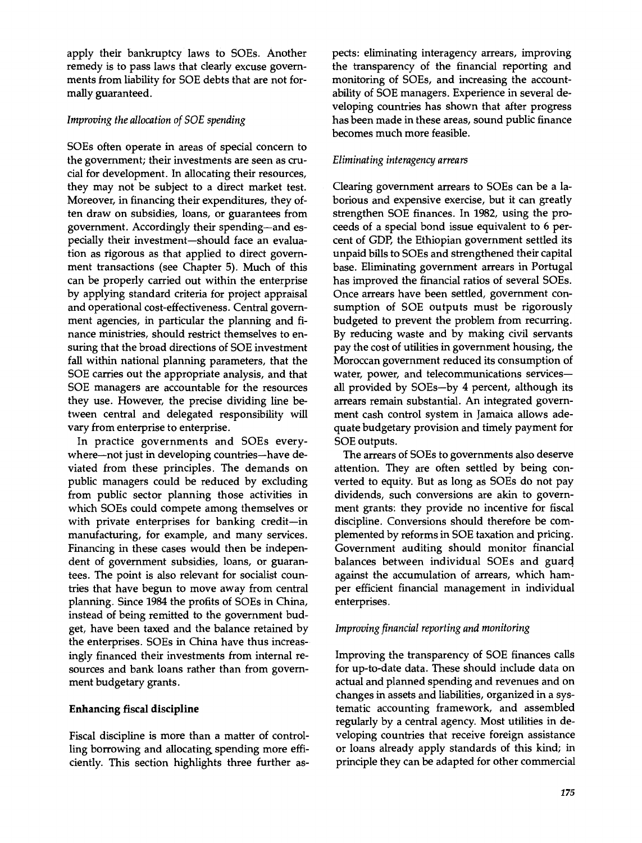apply their bankruptcy laws to SOEs. Another remedy is to pass laws that clearly excuse governments from liability for SOE debts that are not formally guaranteed.

# Improving the allocation of SQE spending

SOEs often operate in areas of special concern to the government; their investments are seen as crucial for development. In allocating their resources, they may not be subject to a direct market test. Moreover, in financing their expenditures, they often draw on subsidies, loans, or guarantees from government. Accordingly their spending—and especially their investment-should face an evaluation as rigorous as that applied to direct government transactions (see Chapter 5). Much of this can be properly carried out within the enterprise by applying standard criteria for project appraisal and operational cost-effectiveness. Central government agencies, in particular the planning and finance ministries, should restrict themselves to ensuring that the broad directions of SOE investment fall within national planning parameters, that the SOE carries out the appropriate analysis, and that SOE managers are accountable for the resources they use. However, the precise dividing line between central and delegated responsibility will vary from enterprise to enterprise.

In practice governments and SOEs everywhere-not just in developing countries-have deviated from these principles. The demands on public managers could be reduced by excluding from public sector planning those activities in which SOEs could compete among themselves or with private enterprises for banking credit-in manufacturing, for example, and many services. Financing in these cases would then be independent of government subsidies, loans, or guarantees. The point is also relevant for socialist countries that have begun to move away from central planning. Since 1984 the profits of SOEs in China, instead of being remitted to the government budget, have been taxed and the balance retained by the enterprises. SOEs in China have thus increasingly financed their investments from internal resources and bank loans rather than from government budgetary grants.

# Enhancing fiscal discipline

Fiscal discipline is more than a matter of controlling borrowing and allocating spending more efficiently. This section highlights three further aspects: eliminating interagency arrears, improving the transparency of the financial reporting and monitoring of SOEs, and increasing the accountability of SOE managers. Experience in several developing countries has shown that after progress has been made in these areas, sound public finance becomes much more feasible.

# Eliminating interagency arrears

Clearing government arrears to SOEs can be a laborious and expensive exercise, but it can greatly strengthen SOE finances. In 1982, using the proceeds of a special bond issue equivalent to 6 percent of GDP, the Ethiopian government settled its unpaid bills to SOEs and strengthened their capital base. Eliminating government arrears in Portugal has improved the financial ratios of several SOEs. Once arrears have been settled, government consumption of SOE outputs must be rigorously budgeted to prevent the problem from recurring. By reducing waste and by making civil servants pay the cost of utilities in government housing, the Moroccan government reduced its consumption of water, power, and telecommunications services all provided by SOEs-by 4 percent, although its arrears remain substantial. An integrated government cash control system in Jamaica allows adequate budgetary provision and timely payment for SOE outputs.

The arrears of SOEs to governments also deserve attention. They are often settled by being converted to equity. But as long as SOEs do not pay dividends, such conversions are akin to government grants: they provide no incentive for fiscal discipline. Conversions should therefore be complemented by reforms in SOE taxation and pricing. Government auditing should monitor financial balances between individual SOEs and guar4 against the accumulation of arrears, which hamper efficient financial management in individual enterprises.

# Improving financial reporting and monitoring

Improving the transparency of SOE finances calls for up-to-date data. These should include data on actual and planned spending and revenues and on changes in assets and liabilities, organized in a systematic accounting framework, and assembled regularly by a central agency. Most utilities in developing countries that receive foreign assistance or loans already apply standards of this kind; in principle they can be adapted for other commercial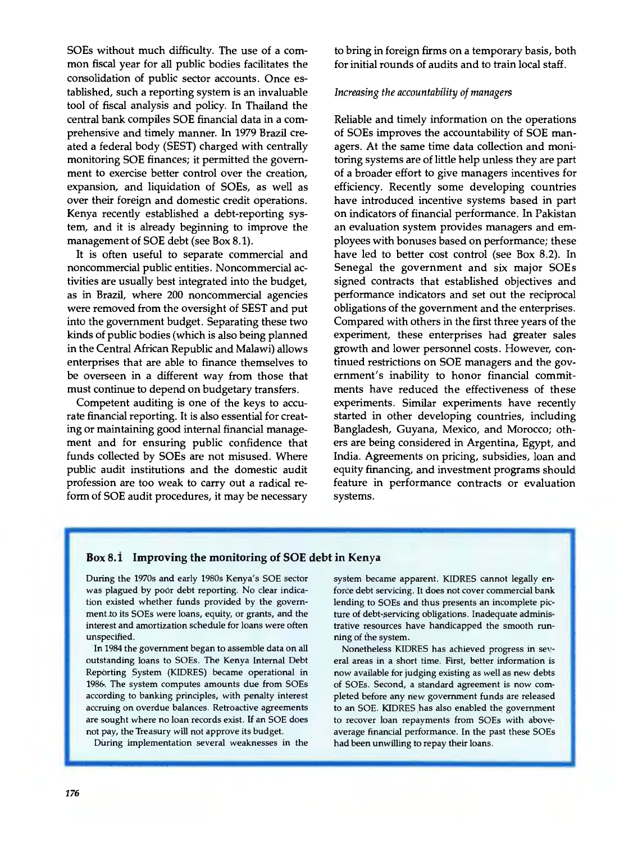SOEs without much difficulty. The use of a common fiscal year for all public bodies facilitates the consolidation of public sector accounts. Once established, such a reporting system is an invaluable tool of fiscal analysis and policy. In Thailand the central bank compiles SOE financial data in a comprehensive and timely manner. In 1979 Brazil created a federal body (SEST) charged with centrally monitoring SOE finances; it permitted the government to exercise better control over the creation, expansion, and liquidation of SOEs, as well as over their foreign and domestic credit operations. Kenya recently established a debt-reporting system, and it is already beginning to improve the management of SOE debt (see Box 8.1).

It is often useful to separate commercial and noncommercial public entities. Noncommercial activities are usually best integrated into the budget, as in Brazil, where 200 noncommercial agencies were removed from the oversight of SEST and put into the government budget. Separating these two kinds of public bodies (which is also being planned in the Central African Republic and Malawi) allows enterprises that are able to finance themselves to be overseen in a different way from those that must continue to depend on budgetary transfers.

Competent auditing is one of the keys to accurate financial reporting. It is also essential for creating or maintaining good internal financial management and for ensuring public confidence that funds collected by SOEs are not misused. Where public audit institutions and the domestic audit profession are too weak to carry out a radical reform of SOE audit procedures, it may be necessary

to bring in foreign firms on a temporary basis, both for initial rounds of audits and to train local staff.

#### Increasing the accountability of managers

Reliable and timely information on the operations of SOEs improves the accountability of SOE managers. At the same time data collection and monitoring systems are of little help unless they are part of a broader effort to give managers incentives for efficiency. Recently some developing countries have introduced incentive systems based in part on indicators of financial performance. In Pakistan an evaluation system provides managers and employees with bonuses based on performance; these have led to better cost control (see Box 8.2). In Senegal the government and six major SOEs signed contracts that established objectives and performance indicators and set out the reciprocal obligations of the government and the enterprises. Compared with others in the first three years of the experiment, these enterprises had greater sales growth and lower personnel costs. However, continued restrictions on SOE managers and the government's inability to honor financial commitments have reduced the effectiveness of these experiments. Similar experiments have recently started in other developing countries, including Bangladesh, Guyana, Mexico, and Morocco; others are being considered in Argentina, Egypt, and India. Agreements on pricing, subsidies, loan and equity financing, and investment programs should feature in performance contracts or evaluation systems.

# Box 8.1 Improving the monitoring of SOE debt in Kenya

During the 1970s and early 1980s Kenya's SOE sector was plagued by poor debt reporting. No clear indication existed whether funds provided by the government to its SOEs were loans, equity, or grants, and the interest and amortization schedule for loans were often unspecified.

In 1984 the government began to assemble data on all outstanding loans to SOEs. The Kenya Internal Debt Reporting System (KIDRES) became operational in 1986. The system computes amounts due from SOEs according to banking principles, with penalty interest accruing on overdue balances. Retroactive agreements are sought where no loan records exist. If an SOE does not pay, the Treasury will not approve its budget.

During implementation several weaknesses in the

system became apparent. KIDRES cannot legally enforce debt servicing. It does not cover commercial bank lending to SOEs and thus presents an incomplete picture of debt-servicing obligations. Inadequate administrative resources have handicapped the smooth running of the system.

Nonetheless KIDRES has achieved progress in several areas in a short time. First, better information is now available for judging existing as well as new debts of SOEs. Second, a standard agreement is now completed before any new government funds are released to an SOE. KIDRES has also enabled the government to recover loan repayments from SOEs with aboveaverage financial performance. In the past these SOEs had been unwilling to repay their loans.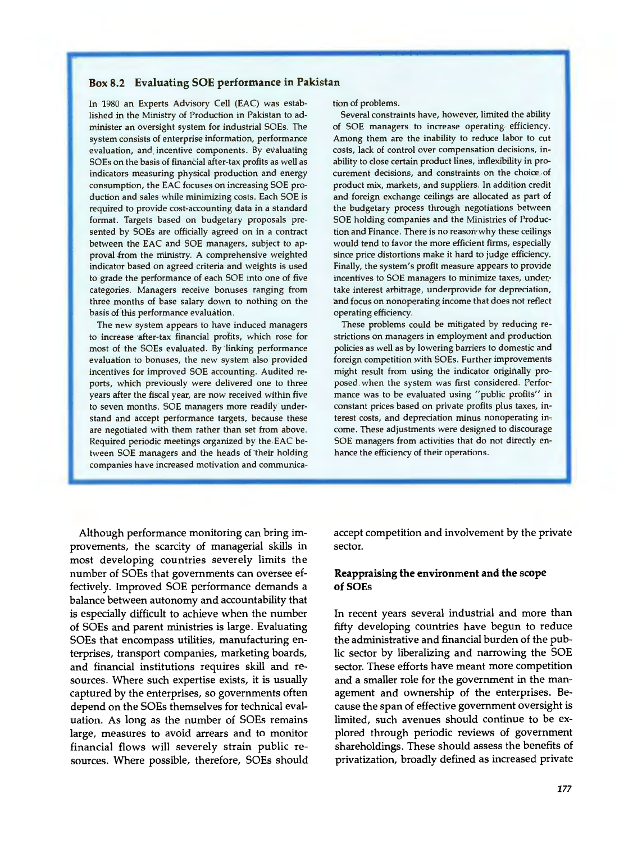## Box 8.2 Evaluating SOE performance in Pakistan

In 1980 an Experts Advisory Cell (EAC) was established in the Ministry of Production in Pakistan to administer an oversight system for industrial SOEs. The system consists of enterprise information, performance evaluation, and incentive components. By evaluating SOEs on the basis of financial after-tax profits as well as indicators measuring physical production and energy consumption, the EAC focuses on increasing SOB production and sales while minimizing costs. Each SOE is required to provide cost-accounting data in a standard format. Targets based on budgetary proposals presented by SOEs are officially agreed on in a contract between the EAC and SOE managers, subject to approval from the ministry. A comprehensive weighted indicator based on agreed criteria and weights is used to grade the performance of each SOE into one of five categories. Managers receive bonuses ranging from three months of base salary down to nothing on the basis of this performance evaluation.

The new system appears to have induced managers to increase after-tax financial profits, which rose for most of the SOEs evaluated. By linking performance evaluation to bonuses, the new system also provided incentives for improved SOE accounting. Audited reports, which previously were delivered one to three years after the fiscal year, are now received within five to seven months. SOE managers more readily understand and accept performance targets, because these are negotiated with them rather than set from above. Required periodic meetings organized by the EAC between SOE managers and the heads of their holding companies have increased motivation and communication of problems.

Several constraints have, however, limited the ability of SOE managers to increase operating efficiency. Among them are the inability to reduce labor to cut costs, lack of control over compensation decisions, inability to close certain product lines, inflexibility in procurement decisions, and constraints on the choice of product mix, markets, and suppliers. In addition credit and foreign exchange ceilings are allocated as part of the budgetary process through negotiations between SOE holding companies and the Ministries of Production and Finance. There is no reason why these ceilings would tend to favor the more efficient firms, especially since price distortions make it hard to judge efficiency. Finally, the system's profit measure appears to provide incentives to SOE managers to minimize taxes, undertake interest arbitrage, underprovide for depreciation, and focus on nonoperating income that does not reflect operating efficiency.

These problems could be mitigated by reducing restrictions on managers in employment and production policies as well as by lowering barriers to domestic and foreign competition with SOEs. Further improvements might result from using the indicator originally proposed when the system was first considered. Performance was to be evaluated using "public profits" in constant prices based on private profits plus taxes, interest costs, and depreciation minus nonoperating income. These adjustments were designed to discourage SOE managers from activities that do not directly enhance the efficiency of their operations.

Although performance monitoring can bring improvements, the scarcity of managerial skills in most developing countries severely limits the number of SOEs that governments can oversee effectively. Improved SOE performance demands a balance between autonomy and accountability that is especially difficult to achieve when the number of SOEs and parent ministries is large. Evaluating SOEs that encompass utilities, manufacturing enterprises, transport companies, marketing boards, and financial institutions requires skill and resources. Where such expertise exists, it is usually captured by the enterprises, so governments often depend on the SOEs themselves for technical evaluation. As long as the number of SOEs remains large, measures to avoid arrears and to monitor financial flows will severely strain public resources. Where possible, therefore, SOEs should accept competition and involvement by the private sector.

#### Reappraising the environment and the scope of SOEs

In recent years several industrial and more than fifty developing countries have begun to reduce the administrative and financial burden of the public sector by liberalizing and narrowing the SOE sector. These efforts have meant more competition and a smaller role for the government in the management and ownership of the enterprises. Because the span of effective government oversight is limited, such avenues should continue to be explored through periodic reviews of government shareholdings. These should assess the benefits of privatization, broadly defined as increased private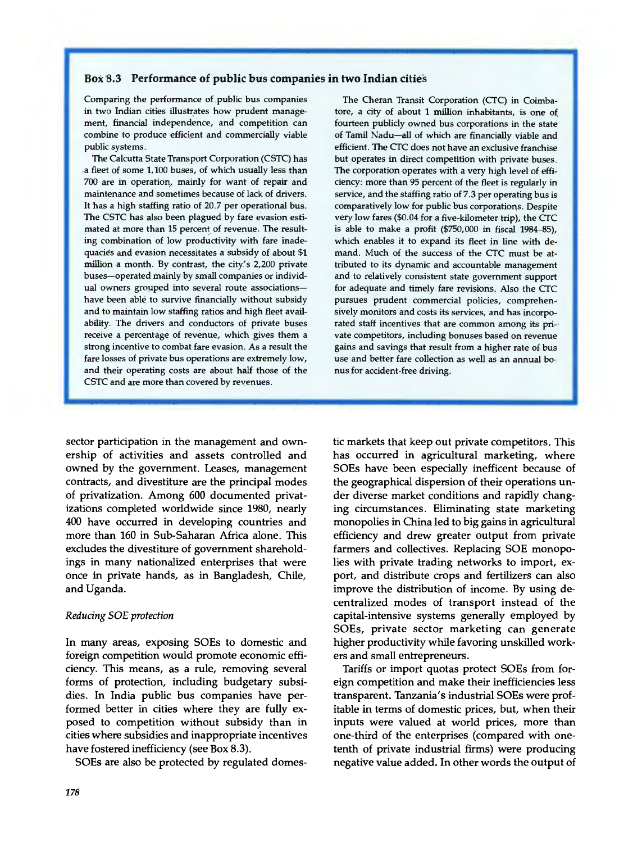#### Box 8.3 Performance of public bus companies in two Indian cities

Comparing the performance of public bus companies in two Indian cities illustrates how prudent management, financial independence, and competition can combine to produce efficient and commercially viable public systems.

The Calcutta State Transport Corporation (CSTC) has a fleet of some 1,100 buses, of which usually less than 700 are in operation, mainly for want of repair and maintenance and sometimes because of lack of drivers. It has a high staffing ratio of 20.7 per operational bus. The CSTC has also been plagued by fare evasion estimated at more than 15 percent of revenue. The resulting combination of low productivity with fare inadequacies and evasion necessitates a subsidy of about \$1 million a month. By contrast, the city's 2,200 private buses-operated mainly by small companies or individual owners grouped into several route associations have been able to survive financially without subsidy and to maintain low staffing ratios and high fleet availability. The drivers and conductors of private buses receive a percentage of revenue, which gives them a strong incentive to combat fare evasion. As a result the fare losses of private bus operations are extremely low, and their operating costs are about half those of the CSTC and are more than covered by revenues.

The Cheran Transit Corporation (CTC) in Coimbatore, a city of about 1 million inhabitants, is one of fourteen publicly owned bus corporations in the state of Tamil Nadu-all of which are financially viable and efficient. The CTC does not have an exclusive franchise but operates in direct competition with private buses. The corporation operates with a very high level of efficiency: more than 95 percent of the fleet is regularly in service, and the staffing ratio of 7.3 per operating bus is comparatively low for public bus corporations. Despite very low fares (\$0.04 for a five-kilometer trip), the CTC is able to make a profit (\$750,000 in fiscal 1984-85), which enables it to expand its fleet in line with demand. Much of the success of the CTC must be attributed to its dynamic and accountable management and to relatively consistent state government support for adequate and timely fare revisions. Also the CTC pursues prudent commercial policies, comprehensively monitors and costs its services, and has incorporated staff incentives that are common among its private competitors, including bonuses based on revenue gains and savings that result from a higher rate of bus use and better fare collection as well as an annual bonus for accident-free driving.

sector participation in the management and ownership of activities and assets controlled and owned by the government. Leases, management contracts, and divestiture are the principal modes of privatization. Among 600 documented privatizations completed worldwide since 1980, nearly 400 have occurred in developing countries and more than 160 in Sub-Saharan Africa alone. This excludes the divestiture of government shareholdings in many nationalized enterprises that were once in private hands, as in Bangladesh, Chile, and Uganda.

#### Reducing SOE protection

In many areas, exposing SOEs to domestic and foreign competition would promote economic efficiency. This means, as a rule, removing several forms of protection, including budgetary subsidies. In India public bus companies have performed better in cities where they are fully exposed to competition without subsidy than in cities where subsidies and inappropriate incentives have fostered inefficiency (see Box 8.3).

SOEs are also be protected by regulated domes-

tic markets that keep out private competitors. This has occurred in agricultural marketing, where SOEs have been especially inefficent because of the geographical dispersion of their operations under diverse market conditions and rapidly changing circumstances. Eliminating state marketing monopolies in China led to big gains in agricultural efficiency and drew greater output from private farmers and collectives. Replacing SOE monopolies with private trading networks to import, export, and distribute crops and fertilizers can also improve the distribution of income. By using decentralized modes of transport instead of the capital-intensive systems generally employed by SOEs, private sector marketing can generate higher productivity while favoring unskilled workers and small entrepreneurs.

Tariffs or import quotas protect SOEs from foreign competition and make their inefficiencies less transparent. Tanzania's industrial SOEs were profitable in terms of domestic prices, but, when their inputs were valued at world prices, more than one-third of the enterprises (compared with onetenth of private industrial firms) were producing negative value added. In other words the output of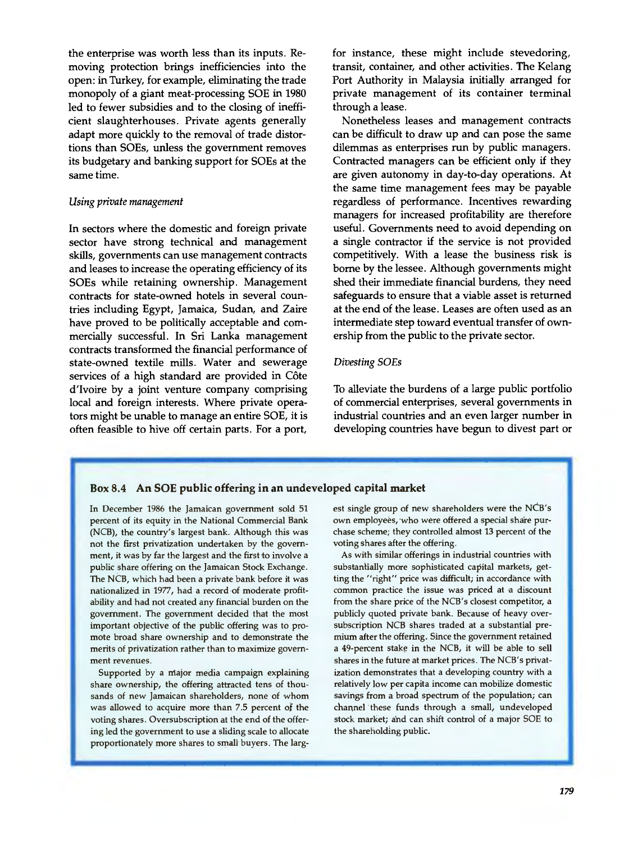the enterprise was worth less than its inputs. Removing protection brings inefficiencies into the open: in Turkey, for example, eliminating the trade monopoly of a giant meat-processing SOE in 1980 led to fewer subsidies and to the closing of inefficient slaughterhouses. Private agents generally adapt more quickly to the removal of trade distortions than SOEs, unless the government removes its budgetary and banking support for SOEs at the same time.

#### Using private management

In sectors where the domestic and foreign private sector have strong technical and management skills, governments can use management contracts and leases to increase the operating efficiency of its SOEs while retaining ownership. Management contracts for state-owned hotels in several countries including Egypt, Jamaica, Sudan, and Zaire have proved to be politically acceptable and commercially successful. In Sri Lanka management contracts transformed the financial performance of state-owned textile mills. Water and sewerage services of a high standard are provided in Côte d'Ivoire by a joint venture company comprising local and foreign interests. Where private operators might be unable to manage an entire SOE, it is often feasible to hive off certain parts. For a port, for instance, these might include stevedoring, transit, container, and other activities. The Kelang Port Authority in Malaysia initially arranged for private management of its container terminal through a lease.

Nonetheless leases and management contracts can be difficult to draw up and can pose the same dilemmas as enterprises run by public managers. Contracted managers can be efficient only if they are given autonomy in day-to-day operations. At the same time management fees may be payable regardless of performance. Incentives rewarding managers for increased profitability are therefore useful. Governments need to avoid depending on a single contractor if the service is not provided competitively. With a lease the business risk is borne by the lessee. Although governments might shed their immediate financial burdens, they need safeguards to ensure that a viable asset is returned at the end of the lease. Leases are often used as an intermediate step toward eventual transfer of ownership from the public to the private sector.

## Divesting SOEs

To alleviate the burdens of a large public portfolio of commercial enterprises, several governments in industrial countries and an even larger number in developing countries have begun to divest part or

#### Box 8.4 An SOE public offering in an undeveloped capital market

In December 1986 the Jamaican government sold 51 percent of its equity in the National Commercial Bank (NCB), the country's largest bank. Although this was not the first privatization undertaken by the government, it was by far the largest and the first to involve a public share offering on the Jamaican Stock Exchange. The NCB, which had been a private bank before it was nationalized in 1977, had a record of moderate profitability and had not created any financial burden on the government. The government decided that the most important objective of the public offering was to promote broad share ownership and to demonstrate the merits of privatization rather than to maximize government revenues.

Supported by a major media campaign explaining share ownership, the offering attracted tens of thousands of new Jamaican shareholders, none of whom was allowed to acquire more than 7.5 percent of the voting shares. Oversubscription at the end of the offering led the government to use a sliding scale to allocate proportionately more shares to small buyers. The larg-

est single group of new shareholders were the NCB's own employees, who were offered a special share purchase scheme; they controlled almost 13 percent of the voting shares after the offering.

As with similar offerings in industrial countries with substantially more sophisticated capital markets, getting the "right" price was difficult; in accordance with common practice the issue was priced at a discount from the share price of the NCB's closest competitor, a publicly quoted private bank. Because of heavy oversubscription NCB shares traded at a substantial premium after the offering. Since the government retained a 49-percent stake in the NCB, it will be able to sell shares in the future at market prices. The NCB's privatization demonstrates that a developing country with a relatively low per capita income can mobilize domestic savings from a broad spectrum of the population; can channel these funds through a small, undeveloped stock market; and can shift control of a major SOE to the shareholding public.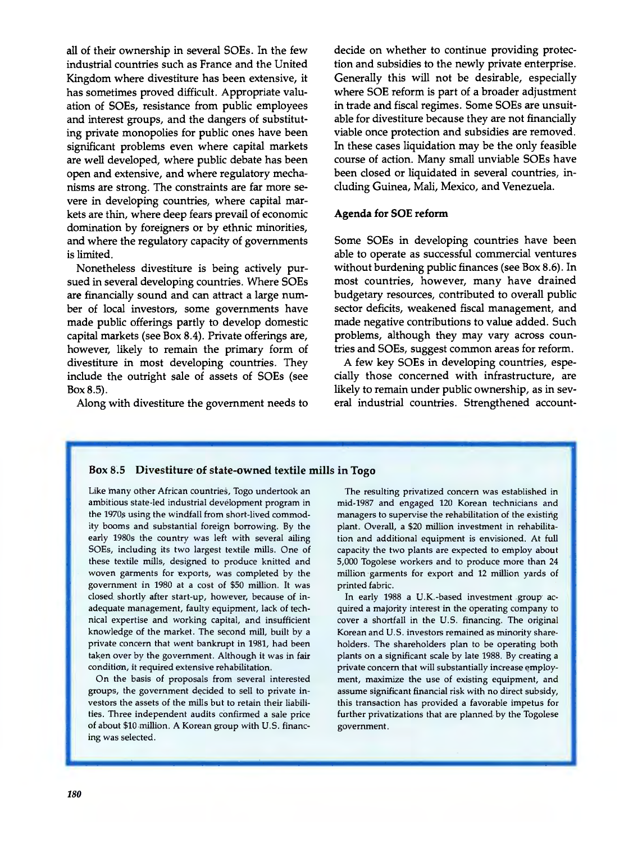all of their ownership in several SOEs. In the few industrial countries such as France and the United Kingdom where divestiture has been extensive, it has sometimes proved difficult. Appropriate valuation of SOEs, resistance from public employees and interest groups, and the dangers of substituting private monopolies for public ones have been significant problems even where capital markets are well developed, where public debate has been open and extensive, and where regulatory mechanisms are strong. The constraints are far more severe in developing countries, where capital markets are thin, where deep fears prevail of economic domination by foreigners or by ethnic minorities, and where the regulatory capacity of governments is limited.

Nonetheless divestiture is being actively pursued in several developing countries. Where SOEs are financially sound and can attract a large number of local investors, some governments have made public offerings partly to develop domestic capital markets (see Box 8.4). Private offerings are, however, likely to remain the primary form of divestiture in most developing countries. They include the outright sale of assets of SOEs (see Box 8.5).

Along with divestiture the government needs to

decide on whether to continue providing protection and subsidies to the newly private enterprise. Generally this will not be desirable, especially where SOE reform is part of a broader adjustment in trade and fiscal regimes. Some SOEs are unsuitable for divestiture because they are not financially viable once protection and subsidies are removed. In these cases liquidation may be the only feasible course of action. Many small unviable SOEs have been closed or liquidated in several countries, including Guinea, Mali, Mexico, and Venezuela.

## Agenda for SOE reform

Some SOEs in developing countries have been able to operate as successful commercial ventures without burdening public finances (see Box 8.6). In most countries, however, many have drained budgetary resources, contributed to overall public sector deficits, weakened fiscal management, and made negative contributions to value added. Such problems, although they may vary across countries and SOEs, suggest common areas for reform.

A few key SOEs in developing countries, especially those concerned with infrastructure, are likely to remain under public ownership, as in several industrial countries. Strengthened account-

#### Box 8.5 Divestiture of state-owned textile mills in Togo

Like many other African countries, Togo undertook an ambitious state-led industrial development program in the 1970s using the windfall from short-lived commodity booms and substantial foreign borrowing. By the early 1980s the country was left with several ailing SOEs, including its two largest textile mills. One of these textile mills, designed to produce knitted and woven garments for exports, was completed by the government in 1980 at a cost of \$50 million. It was closed shortly after start-up, however, because of inadequate management, faulty equipment, lack of technical expertise and working capital, and insufficient knowledge of the market. The second mill, built by a private concern that went bankrupt in 1981, had been taken over by the government. Although it was in fair condition, it required extensive rehabilitation.

On the basis of proposals from several interested groups, the government decided to sell to private investors the assets of the mills but to retain their liabilities. Three independent audits confirmed a sale price of about \$10 million. A Korean group with U.S. financing was selected.

The resulting privatized concern was established in mid-1987 and engaged 120 Korean technicians and managers to supervise the rehabilitation of the existing plant. Overall, a \$20 million investment in rehabilitation and additional equipment is envisioned. At full capacity the two plants are expected to employ about 5,000 Togolese workers and to produce more than 24 million garments for export and 12 million yards of printed fabric.

In early 1988 a U.K.-based investment group acquired a majority interest in the operating company to cover a shortfall in the U.S. financing. The original Korean and U.S. investors remained as minority shareholders. The shareholders plan to be operating both plants on a significant scale by late 1988. By creating a private concern that will substantially increase employment, maximize the use of existing equipment, and assume significant financial risk with no direct subsidy, this transaction has provided a favorable impetus for further privatizations that are planned by the Togolese government.